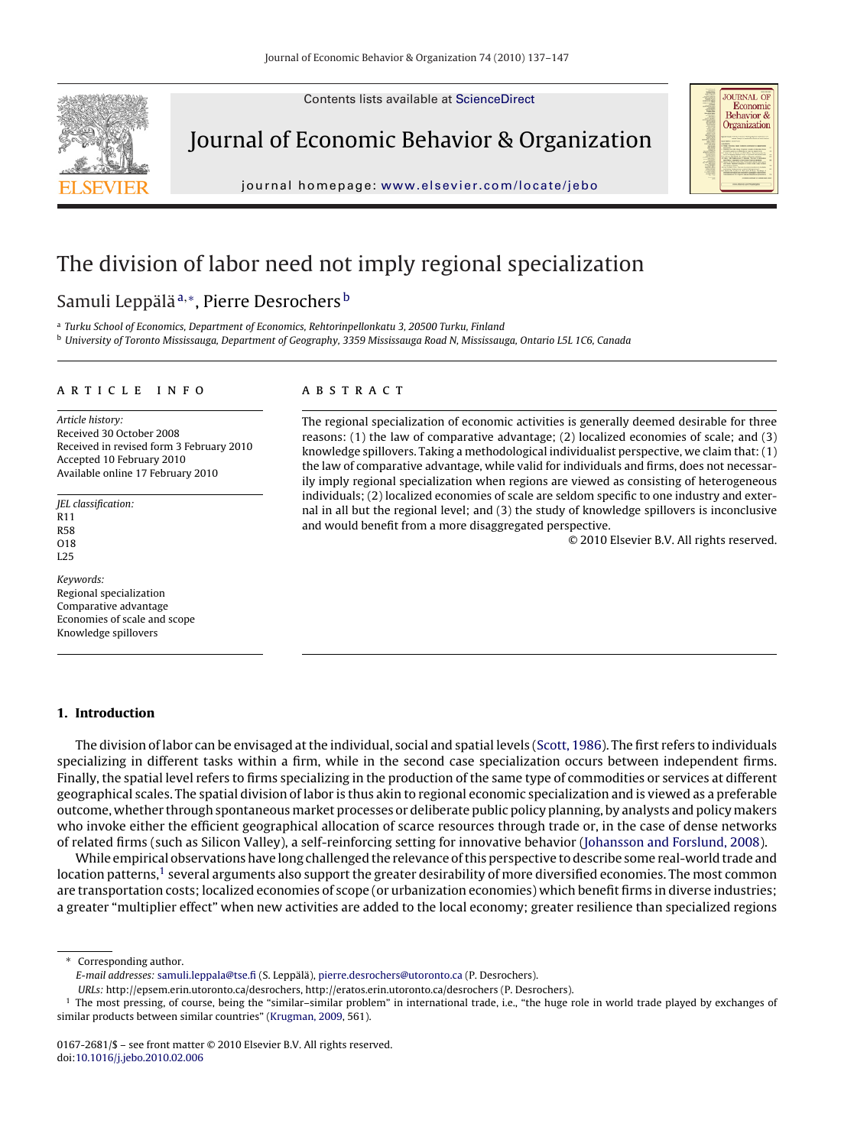Contents lists available at [ScienceDirect](http://www.sciencedirect.com/science/journal/01672681)



Journal of Economic Behavior & Organization

journal homepage: [www.elsevier.com/locate/jebo](http://www.elsevier.com/locate/jebo)

# The division of labor need not imply regional specialization

## Samuli Leppälä<sup>a,∗</sup>, Pierre Desrochers<sup>b</sup>

a Turku School of Economics, Department of Economics, Rehtorinpellonkatu 3, 20500 Turku, Finland

<sup>b</sup> University of Toronto Mississauga, Department of Geography, 3359 Mississauga Road N, Mississauga, Ontario L5L 1C6, Canada

#### article info

Article history: Received 30 October 2008 Received in revised form 3 February 2010 Accepted 10 February 2010 Available online 17 February 2010

JEL classification:  $R11$ R58 O18 L25

Keywords: Regional specialization Comparative advantage Economies of scale and scope Knowledge spillovers

### **1. Introduction**

### **ABSTRACT**

The regional specialization of economic activities is generally deemed desirable for three reasons: (1) the law of comparative advantage; (2) localized economies of scale; and (3) knowledge spillovers. Taking a methodological individualist perspective, we claim that: (1) the law of comparative advantage, while valid for individuals and firms, does not necessarily imply regional specialization when regions are viewed as consisting of heterogeneous individuals; (2) localized economies of scale are seldom specific to one industry and external in all but the regional level; and (3) the study of knowledge spillovers is inconclusive and would benefit from a more disaggregated perspective.

© 2010 Elsevier B.V. All rights reserved.

The division of labor can be envisaged at the individual, social and spatial levels ([Scott, 1986\).](#page--1-0) The first refers to individuals specializing in different tasks within a firm, while in the second case specialization occurs between independent firms. Finally, the spatial level refers to firms specializing in the production of the same type of commodities or services at different geographical scales. The spatial division of labor is thus akin to regional economic specialization and is viewed as a preferable outcome, whether through spontaneous market processes or deliberate public policy planning, by analysts and policy makers who invoke either the efficient geographical allocation of scarce resources through trade or, in the case of dense networks of related firms (such as Silicon Valley), a self-reinforcing setting for innovative behavior [\(Johansson and Forslund, 2008\).](#page--1-0)

While empirical observations have long challenged the relevance of this perspective to describe some real-world trade and location patterns,<sup>1</sup> several arguments also support the greater desirability of more diversified economies. The most common are transportation costs; localized economies of scope (or urbanization economies) which benefit firms in diverse industries; a greater "multiplier effect" when new activities are added to the local economy; greater resilience than specialized regions

Corresponding author.

E-mail addresses: [samuli.leppala@tse.fi](mailto:samuli.leppala@tse.fi) (S. Leppälä), [pierre.desrochers@utoronto.ca](mailto:pierre.desrochers@utoronto.ca) (P. Desrochers).

URLs: http://epsem.erin.utoronto.ca/desrochers, http://eratos.erin.utoronto.ca/desrochers (P. Desrochers).



<sup>&</sup>lt;sup>1</sup> The most pressing, of course, being the "similar-similar problem" in international trade, i.e., "the huge role in world trade played by exchanges of similar products between similar countries" [\(Krugman, 2009, 5](#page--1-0)61).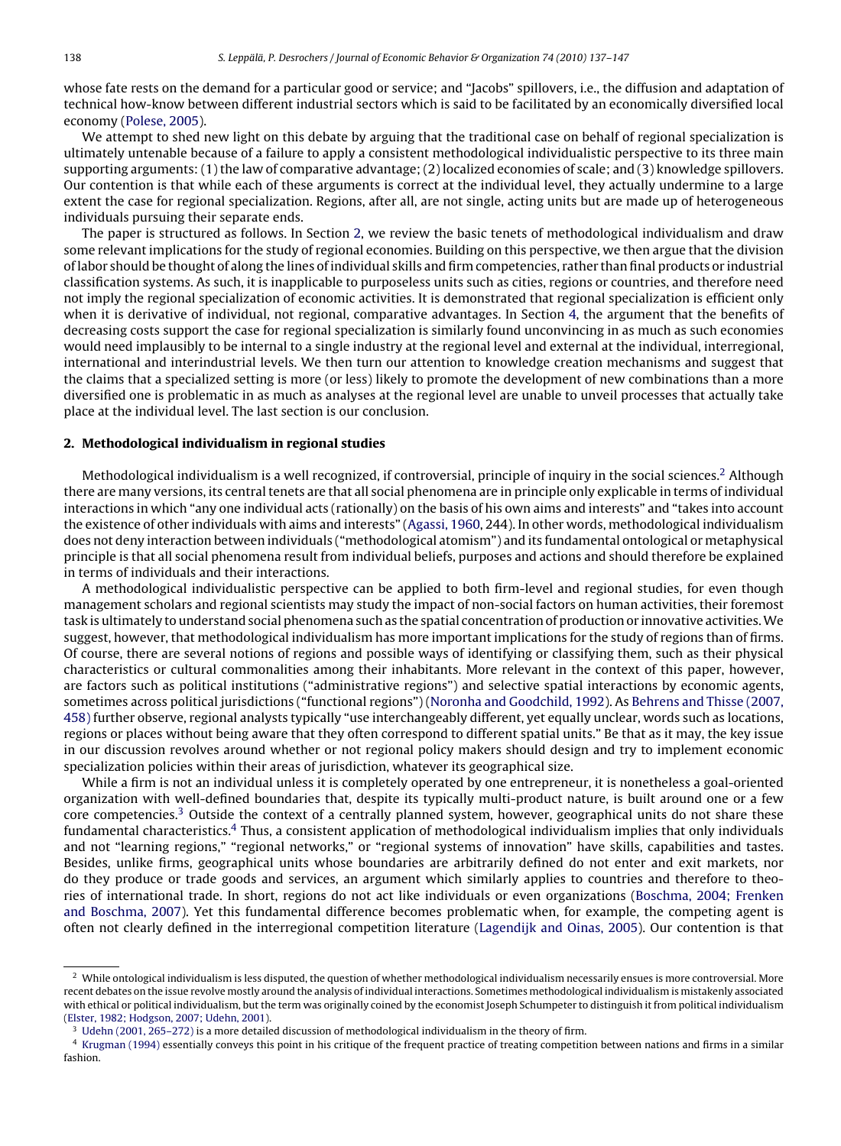whose fate rests on the demand for a particular good or service; and "Jacobs" spillovers, i.e., the diffusion and adaptation of technical how-know between different industrial sectors which is said to be facilitated by an economically diversified local economy [\(Polese, 2005\).](#page--1-0)

We attempt to shed new light on this debate by arguing that the traditional case on behalf of regional specialization is ultimately untenable because of a failure to apply a consistent methodological individualistic perspective to its three main supporting arguments: (1) the law of comparative advantage; (2) localized economies of scale; and (3) knowledge spillovers. Our contention is that while each of these arguments is correct at the individual level, they actually undermine to a large extent the case for regional specialization. Regions, after all, are not single, acting units but are made up of heterogeneous individuals pursuing their separate ends.

The paper is structured as follows. In Section 2, we review the basic tenets of methodological individualism and draw some relevant implications for the study of regional economies. Building on this perspective, we then argue that the division of labor should be thought of along the lines of individual skills and firm competencies, rather than final products or industrial classification systems. As such, it is inapplicable to purposeless units such as cities, regions or countries, and therefore need not imply the regional specialization of economic activities. It is demonstrated that regional specialization is efficient only when it is derivative of individual, not regional, comparative advantages. In Section [4, t](#page--1-0)he argument that the benefits of decreasing costs support the case for regional specialization is similarly found unconvincing in as much as such economies would need implausibly to be internal to a single industry at the regional level and external at the individual, interregional, international and interindustrial levels. We then turn our attention to knowledge creation mechanisms and suggest that the claims that a specialized setting is more (or less) likely to promote the development of new combinations than a more diversified one is problematic in as much as analyses at the regional level are unable to unveil processes that actually take place at the individual level. The last section is our conclusion.

#### **2. Methodological individualism in regional studies**

Methodological individualism is a well recognized, if controversial, principle of inquiry in the social sciences.<sup>2</sup> Although there are many versions, its central tenets are that all social phenomena are in principle only explicable in terms of individual interactions in which "any one individual acts (rationally) on the basis of his own aims and interests" and "takes into account the existence of other individuals with aims and interests" [\(Agassi, 1960, 2](#page--1-0)44). In other words, methodological individualism does not deny interaction between individuals ("methodological atomism") and its fundamental ontological or metaphysical principle is that all social phenomena result from individual beliefs, purposes and actions and should therefore be explained in terms of individuals and their interactions.

A methodological individualistic perspective can be applied to both firm-level and regional studies, for even though management scholars and regional scientists may study the impact of non-social factors on human activities, their foremost task is ultimately to understand social phenomena such as the spatial concentration of production or innovative activities.We suggest, however, that methodological individualism has more important implications for the study of regions than of firms. Of course, there are several notions of regions and possible ways of identifying or classifying them, such as their physical characteristics or cultural commonalities among their inhabitants. More relevant in the context of this paper, however, are factors such as political institutions ("administrative regions") and selective spatial interactions by economic agents, sometimes across political jurisdictions ("functional regions") ([Noronha and Goodchild, 1992\).](#page--1-0) As [Behrens and Thisse \(2007,](#page--1-0) [458\)](#page--1-0) further observe, regional analysts typically "use interchangeably different, yet equally unclear, words such as locations, regions or places without being aware that they often correspond to different spatial units." Be that as it may, the key issue in our discussion revolves around whether or not regional policy makers should design and try to implement economic specialization policies within their areas of jurisdiction, whatever its geographical size.

While a firm is not an individual unless it is completely operated by one entrepreneur, it is nonetheless a goal-oriented organization with well-defined boundaries that, despite its typically multi-product nature, is built around one or a few core competencies.3 Outside the context of a centrally planned system, however, geographical units do not share these fundamental characteristics.4 Thus, a consistent application of methodological individualism implies that only individuals and not "learning regions," "regional networks," or "regional systems of innovation" have skills, capabilities and tastes. Besides, unlike firms, geographical units whose boundaries are arbitrarily defined do not enter and exit markets, nor do they produce or trade goods and services, an argument which similarly applies to countries and therefore to theories of international trade. In short, regions do not act like individuals or even organizations ([Boschma, 2004; Frenken](#page--1-0) [and Boschma, 2007\).](#page--1-0) Yet this fundamental difference becomes problematic when, for example, the competing agent is often not clearly defined in the interregional competition literature [\(Lagendijk and Oinas, 2005\).](#page--1-0) Our contention is that

 $<sup>2</sup>$  While ontological individualism is less disputed, the question of whether methodological individualism necessarily ensues is more controversial. More</sup> recent debates on the issue revolve mostly around the analysis of individual interactions. Sometimes methodological individualism is mistakenly associated with ethical or political individualism, but the term was originally coined by the economist Joseph Schumpeter to distinguish it from political individualism ([Elster, 1982; Hodgson, 2007; Udehn, 2001\).](#page--1-0)

[Udehn \(2001, 265–272\)](#page--1-0) is a more detailed discussion of methodological individualism in the theory of firm.

<sup>4</sup> [Krugman \(1994\)](#page--1-0) essentially conveys this point in his critique of the frequent practice of treating competition between nations and firms in a similar fashion.